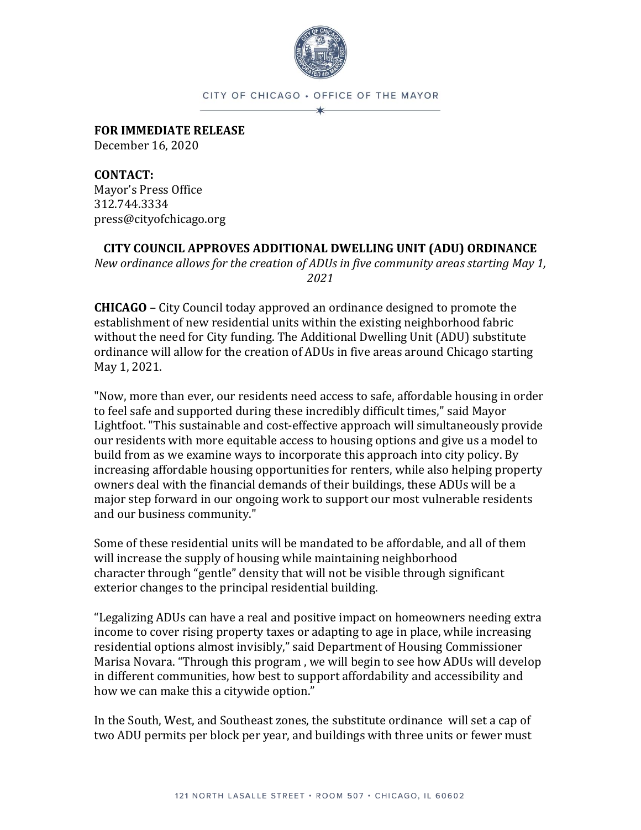

## CITY OF CHICAGO . OFFICE OF THE MAYOR ×

**FOR IMMEDIATE RELEASE** December 16, 2020

**CONTACT:**  Mayor's Press Office 312.744.3334 press@cityofchicago.org

**CITY COUNCIL APPROVES ADDITIONAL DWELLING UNIT (ADU) ORDINANCE** 

*New ordinance allows for the creation of ADUs in five community areas starting May 1, 2021*

**CHICAGO** – City Council today approved an ordinance designed to promote the establishment of new residential units within the existing neighborhood fabric without the need for City funding. The Additional Dwelling Unit (ADU) substitute ordinance will allow for the creation of ADUs in five areas around Chicago starting May 1, 2021.

"Now, more than ever, our residents need access to safe, affordable housing in order to feel safe and supported during these incredibly difficult times," said Mayor Lightfoot. "This sustainable and cost-effective approach will simultaneously provide our residents with more equitable access to housing options and give us a model to build from as we examine ways to incorporate this approach into city policy. By increasing affordable housing opportunities for renters, while also helping property owners deal with the financial demands of their buildings, these ADUs will be a major step forward in our ongoing work to support our most vulnerable residents and our business community."

Some of these residential units will be mandated to be affordable, and all of them will increase the supply of housing while maintaining neighborhood character through "gentle" density that will not be visible through significant exterior changes to the principal residential building.

"Legalizing ADUs can have a real and positive impact on homeowners needing extra income to cover rising property taxes or adapting to age in place, while increasing residential options almost invisibly," said Department of Housing Commissioner Marisa Novara. "Through this program , we will begin to see how ADUs will develop in different communities, how best to support affordability and accessibility and how we can make this a citywide option."

In the South, West, and Southeast zones, the substitute ordinance will set a cap of two ADU permits per block per year, and buildings with three units or fewer must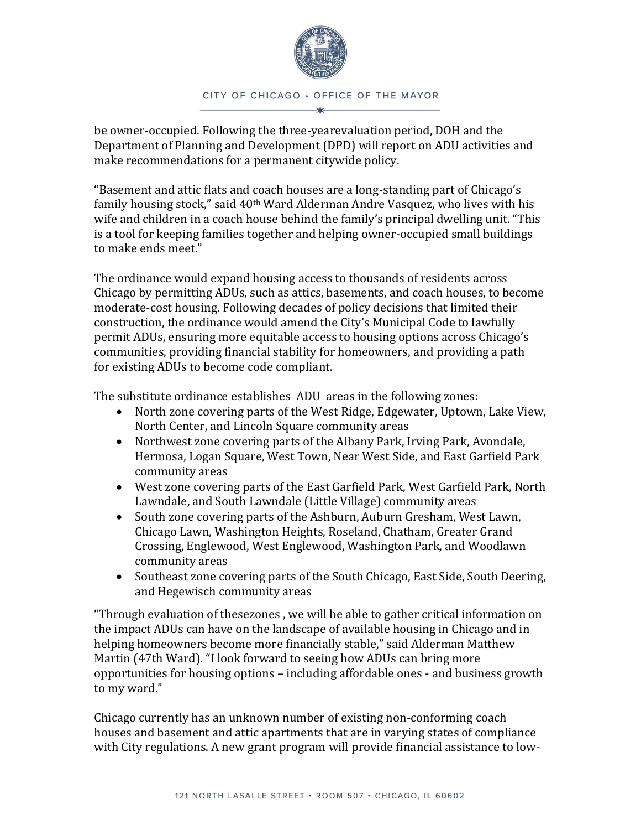

be owner-occupied. Following the three-yearevaluation period, DOH and the Department of Planning and Development (DPD) will report on ADU activities and make recommendations for a permanent citywide policy.

"Basement and attic flats and coach houses are a long-standing part of Chicago's family housing stock," said 40th Ward Alderman Andre Vasquez, who lives with his wife and children in a coach house behind the family's principal dwelling unit. "This is a tool for keeping families together and helping owner-occupied small buildings to make ends meet."

The ordinance would expand housing access to thousands of residents across Chicago by permitting ADUs, such as attics, basements, and coach houses, to become moderate-cost housing. Following decades of policy decisions that limited their construction, the ordinance would amend the City's Municipal Code to lawfully permit ADUs, ensuring more equitable access to housing options across Chicago's communities, providing financial stability for homeowners, and providing a path for existing ADUs to become code compliant.

The substitute ordinance establishes ADU areas in the following zones:

- North zone covering parts of the West Ridge, Edgewater, Uptown, Lake View, North Center, and Lincoln Square community areas
- Northwest zone covering parts of the Albany Park, Irving Park, Avondale, Hermosa, Logan Square, West Town, Near West Side, and East Garfield Park community areas
- West zone covering parts of the East Garfield Park, West Garfield Park, North Lawndale, and South Lawndale (Little Village) community areas
- South zone covering parts of the Ashburn, Auburn Gresham, West Lawn, Chicago Lawn, Washington Heights, Roseland, Chatham, Greater Grand Crossing, Englewood, West Englewood, Washington Park, and Woodlawn community areas
- Southeast zone covering parts of the South Chicago, East Side, South Deering, and Hegewisch community areas

"Through evaluation of thesezones , we will be able to gather critical information on the impact ADUs can have on the landscape of available housing in Chicago and in helping homeowners become more financially stable," said Alderman Matthew Martin (47th Ward). "I look forward to seeing how ADUs can bring more opportunities for housing options – including affordable ones - and business growth to my ward."

Chicago currently has an unknown number of existing non-conforming coach houses and basement and attic apartments that are in varying states of compliance with City regulations. A new grant program will provide financial assistance to low-